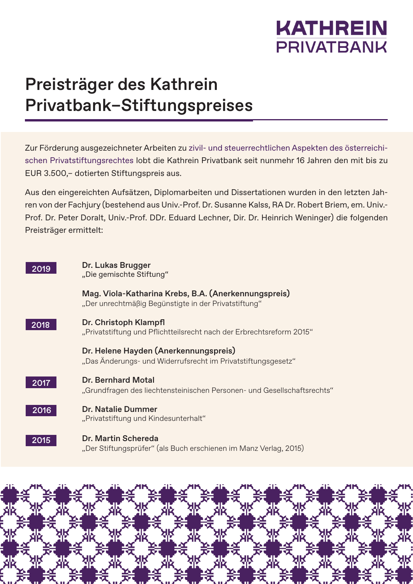

## Preisträger des Kathrein Privatbank–Stiftungspreises

Zur Förderung ausgezeichneter Arbeiten zu zivil- und steuerrechtlichen Aspekten des österreichischen Privatstiftungsrechtes lobt die Kathrein Privatbank seit nunmehr 16 Jahren den mit bis zu EUR 3.500,– dotierten Stiftungspreis aus.

Aus den eingereichten Aufsätzen, Diplomarbeiten und Dissertationen wurden in den letzten Jahren von der Fachjury (bestehend aus Univ.-Prof. Dr. Susanne Kalss, RA Dr. Robert Briem, em. Univ.- Prof. Dr. Peter Doralt, Univ.-Prof. DDr. Eduard Lechner, Dir. Dr. Heinrich Weninger) die folgenden Preisträger ermittelt: